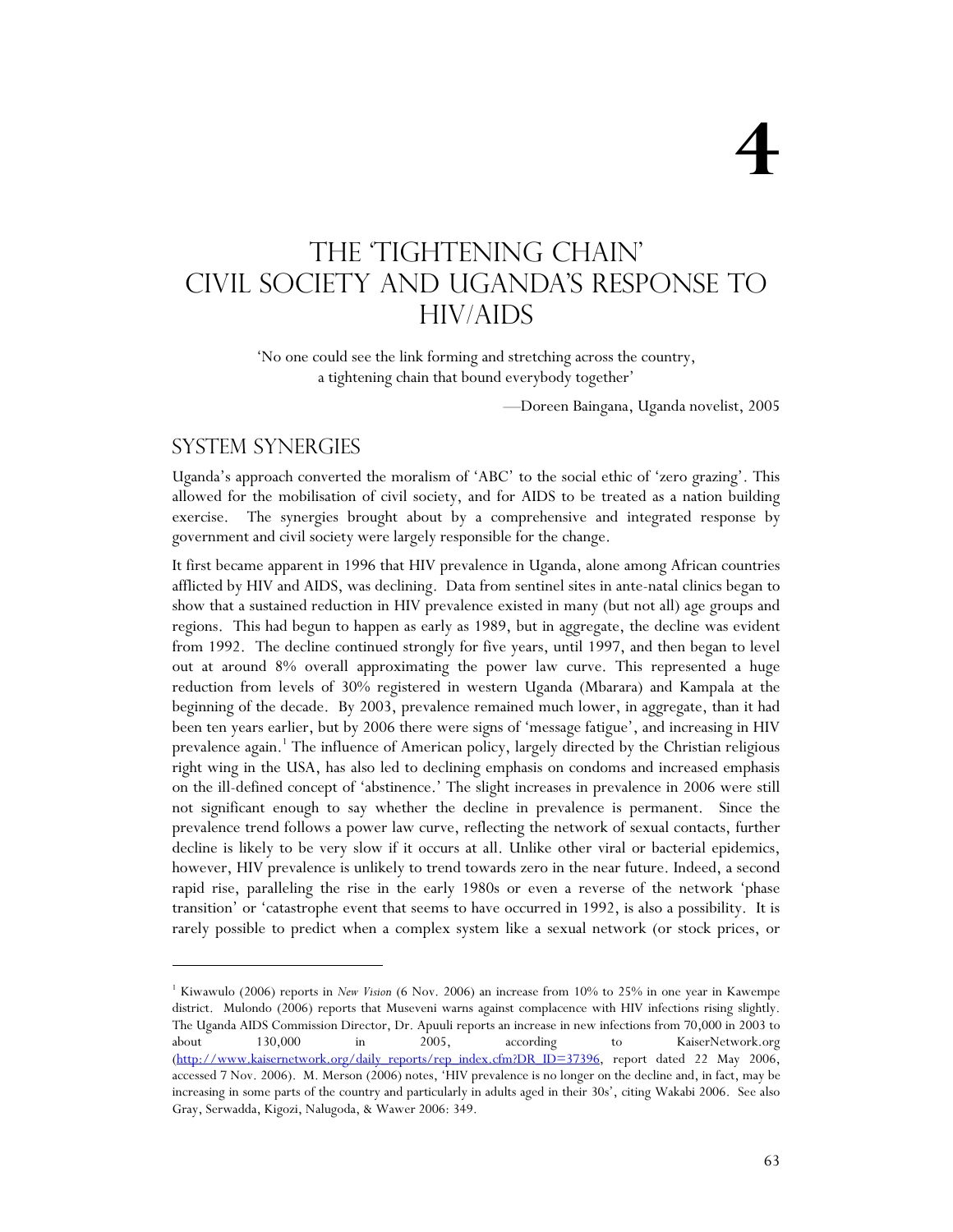# The 'tightening chain' Civil Society and Uganda's Response to HIV/AIDS

'No one could see the link forming and stretching across the country, a tightening chain that bound everybody together'

—Doreen Baingana, Uganda novelist, 2005

### System synergies

j

Uganda's approach converted the moralism of 'ABC' to the social ethic of 'zero grazing'. This allowed for the mobilisation of civil society, and for AIDS to be treated as a nation building exercise. The synergies brought about by a comprehensive and integrated response by government and civil society were largely responsible for the change.

It first became apparent in 1996 that HIV prevalence in Uganda, alone among African countries afflicted by HIV and AIDS, was declining. Data from sentinel sites in ante-natal clinics began to show that a sustained reduction in HIV prevalence existed in many (but not all) age groups and regions. This had begun to happen as early as 1989, but in aggregate, the decline was evident from 1992. The decline continued strongly for five years, until 1997, and then began to level out at around 8% overall approximating the power law curve. This represented a huge reduction from levels of 30% registered in western Uganda (Mbarara) and Kampala at the beginning of the decade. By 2003, prevalence remained much lower, in aggregate, than it had been ten years earlier, but by 2006 there were signs of 'message fatigue', and increasing in HIV prevalence again.<sup>1</sup> The influence of American policy, largely directed by the Christian religious right wing in the USA, has also led to declining emphasis on condoms and increased emphasis on the ill-defined concept of 'abstinence.' The slight increases in prevalence in 2006 were still not significant enough to say whether the decline in prevalence is permanent. Since the prevalence trend follows a power law curve, reflecting the network of sexual contacts, further decline is likely to be very slow if it occurs at all. Unlike other viral or bacterial epidemics, however, HIV prevalence is unlikely to trend towards zero in the near future. Indeed, a second rapid rise, paralleling the rise in the early 1980s or even a reverse of the network 'phase transition' or 'catastrophe event that seems to have occurred in 1992, is also a possibility. It is rarely possible to predict when a complex system like a sexual network (or stock prices, or

<sup>1</sup> Kiwawulo (2006) reports in *New Vision* (6 Nov. 2006) an increase from 10% to 25% in one year in Kawempe district. Mulondo (2006) reports that Museveni warns against complacence with HIV infections rising slightly. The Uganda AIDS Commission Director, Dr. Apuuli reports an increase in new infections from 70,000 in 2003 to about 130,000 in 2005, according to KaiserNetwork.org (http://www.kaisernetwork.org/daily\_reports/rep\_index.cfm?DR\_ID=37396, report dated 22 May 2006, accessed 7 Nov. 2006). M. Merson (2006) notes, 'HIV prevalence is no longer on the decline and, in fact, may be increasing in some parts of the country and particularly in adults aged in their 30s', citing Wakabi 2006. See also Gray, Serwadda, Kigozi, Nalugoda, & Wawer 2006: 349.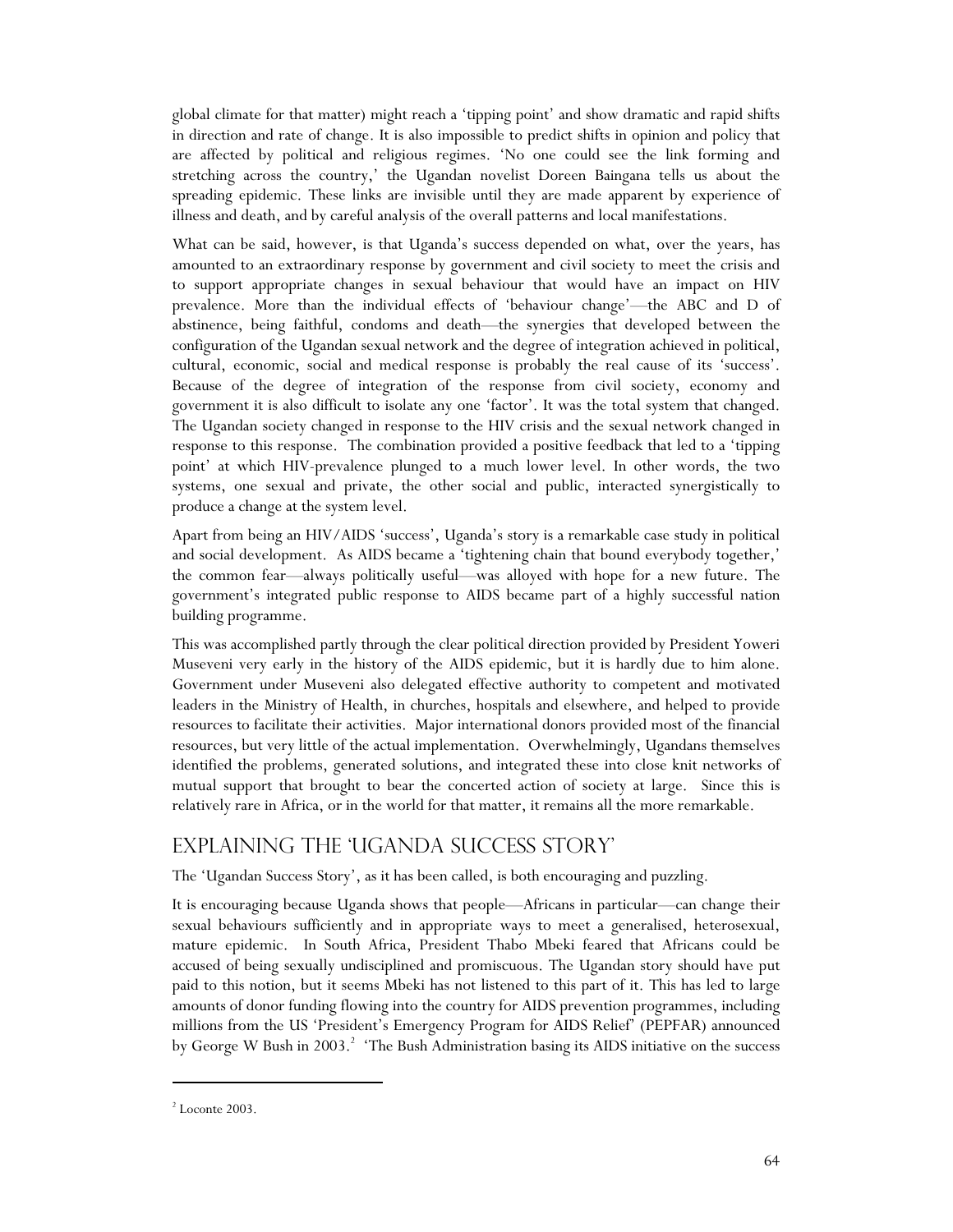global climate for that matter) might reach a 'tipping point' and show dramatic and rapid shifts in direction and rate of change. It is also impossible to predict shifts in opinion and policy that are affected by political and religious regimes. 'No one could see the link forming and stretching across the country,' the Ugandan novelist Doreen Baingana tells us about the spreading epidemic. These links are invisible until they are made apparent by experience of illness and death, and by careful analysis of the overall patterns and local manifestations.

What can be said, however, is that Uganda's success depended on what, over the years, has amounted to an extraordinary response by government and civil society to meet the crisis and to support appropriate changes in sexual behaviour that would have an impact on HIV prevalence. More than the individual effects of 'behaviour change'—the ABC and D of abstinence, being faithful, condoms and death—the synergies that developed between the configuration of the Ugandan sexual network and the degree of integration achieved in political, cultural, economic, social and medical response is probably the real cause of its 'success'. Because of the degree of integration of the response from civil society, economy and government it is also difficult to isolate any one 'factor'. It was the total system that changed. The Ugandan society changed in response to the HIV crisis and the sexual network changed in response to this response. The combination provided a positive feedback that led to a 'tipping point' at which HIV-prevalence plunged to a much lower level. In other words, the two systems, one sexual and private, the other social and public, interacted synergistically to produce a change at the system level.

Apart from being an HIV/AIDS 'success', Uganda's story is a remarkable case study in political and social development. As AIDS became a 'tightening chain that bound everybody together,' the common fear—always politically useful—was alloyed with hope for a new future. The government's integrated public response to AIDS became part of a highly successful nation building programme.

This was accomplished partly through the clear political direction provided by President Yoweri Museveni very early in the history of the AIDS epidemic, but it is hardly due to him alone. Government under Museveni also delegated effective authority to competent and motivated leaders in the Ministry of Health, in churches, hospitals and elsewhere, and helped to provide resources to facilitate their activities. Major international donors provided most of the financial resources, but very little of the actual implementation. Overwhelmingly, Ugandans themselves identified the problems, generated solutions, and integrated these into close knit networks of mutual support that brought to bear the concerted action of society at large. Since this is relatively rare in Africa, or in the world for that matter, it remains all the more remarkable.

## Explaining the 'Uganda Success Story'

The 'Ugandan Success Story', as it has been called, is both encouraging and puzzling.

It is encouraging because Uganda shows that people—Africans in particular—can change their sexual behaviours sufficiently and in appropriate ways to meet a generalised, heterosexual, mature epidemic. In South Africa, President Thabo Mbeki feared that Africans could be accused of being sexually undisciplined and promiscuous. The Ugandan story should have put paid to this notion, but it seems Mbeki has not listened to this part of it. This has led to large amounts of donor funding flowing into the country for AIDS prevention programmes, including millions from the US 'President's Emergency Program for AIDS Relief' (PEPFAR) announced by George W Bush in 2003.<sup>2</sup> 'The Bush Administration basing its AIDS initiative on the success

 $2$  Loconte 2003.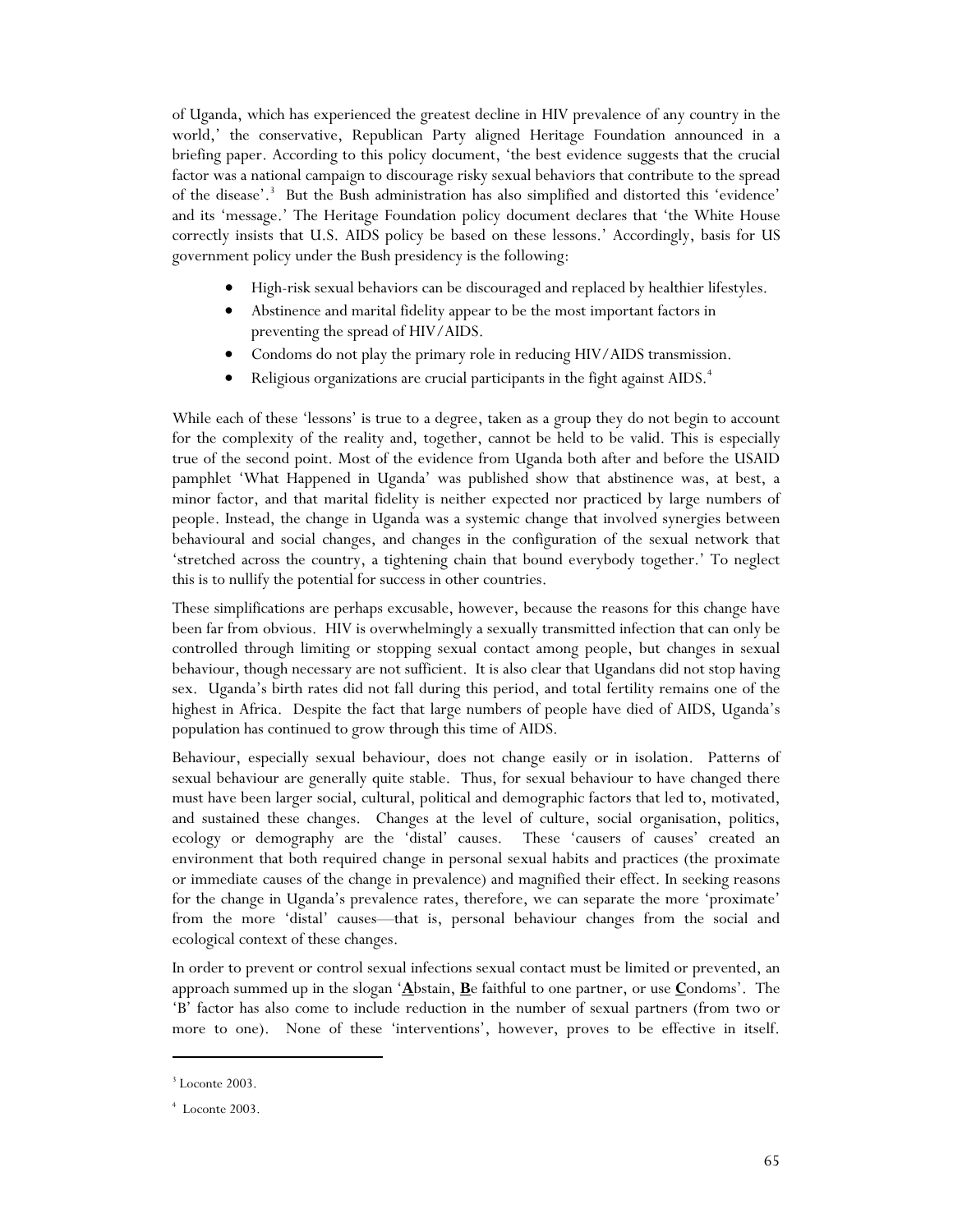of Uganda, which has experienced the greatest decline in HIV prevalence of any country in the world,' the conservative, Republican Party aligned Heritage Foundation announced in a briefing paper. According to this policy document, 'the best evidence suggests that the crucial factor was a national campaign to discourage risky sexual behaviors that contribute to the spread of the disease'.<sup>3</sup> But the Bush administration has also simplified and distorted this 'evidence' and its 'message.' The Heritage Foundation policy document declares that 'the White House correctly insists that U.S. AIDS policy be based on these lessons.' Accordingly, basis for US government policy under the Bush presidency is the following:

- High-risk sexual behaviors can be discouraged and replaced by healthier lifestyles.
- Abstinence and marital fidelity appear to be the most important factors in preventing the spread of HIV/AIDS.
- Condoms do not play the primary role in reducing HIV/AIDS transmission.
- Religious organizations are crucial participants in the fight against AIDS.<sup>4</sup>

While each of these 'lessons' is true to a degree, taken as a group they do not begin to account for the complexity of the reality and, together, cannot be held to be valid. This is especially true of the second point. Most of the evidence from Uganda both after and before the USAID pamphlet 'What Happened in Uganda' was published show that abstinence was, at best, a minor factor, and that marital fidelity is neither expected nor practiced by large numbers of people. Instead, the change in Uganda was a systemic change that involved synergies between behavioural and social changes, and changes in the configuration of the sexual network that 'stretched across the country, a tightening chain that bound everybody together.' To neglect this is to nullify the potential for success in other countries.

These simplifications are perhaps excusable, however, because the reasons for this change have been far from obvious. HIV is overwhelmingly a sexually transmitted infection that can only be controlled through limiting or stopping sexual contact among people, but changes in sexual behaviour, though necessary are not sufficient. It is also clear that Ugandans did not stop having sex. Uganda's birth rates did not fall during this period, and total fertility remains one of the highest in Africa. Despite the fact that large numbers of people have died of AIDS, Uganda's population has continued to grow through this time of AIDS.

Behaviour, especially sexual behaviour, does not change easily or in isolation. Patterns of sexual behaviour are generally quite stable. Thus, for sexual behaviour to have changed there must have been larger social, cultural, political and demographic factors that led to, motivated, and sustained these changes. Changes at the level of culture, social organisation, politics, ecology or demography are the 'distal' causes. These 'causers of causes' created an environment that both required change in personal sexual habits and practices (the proximate or immediate causes of the change in prevalence) and magnified their effect. In seeking reasons for the change in Uganda's prevalence rates, therefore, we can separate the more 'proximate' from the more 'distal' causes—that is, personal behaviour changes from the social and ecological context of these changes.

In order to prevent or control sexual infections sexual contact must be limited or prevented, an approach summed up in the slogan '**A**bstain, **B**e faithful to one partner, or use **C**ondoms'. The 'B' factor has also come to include reduction in the number of sexual partners (from two or more to one). None of these 'interventions', however, proves to be effective in itself.

<sup>3</sup> Loconte 2003.

<sup>4</sup> Loconte 2003.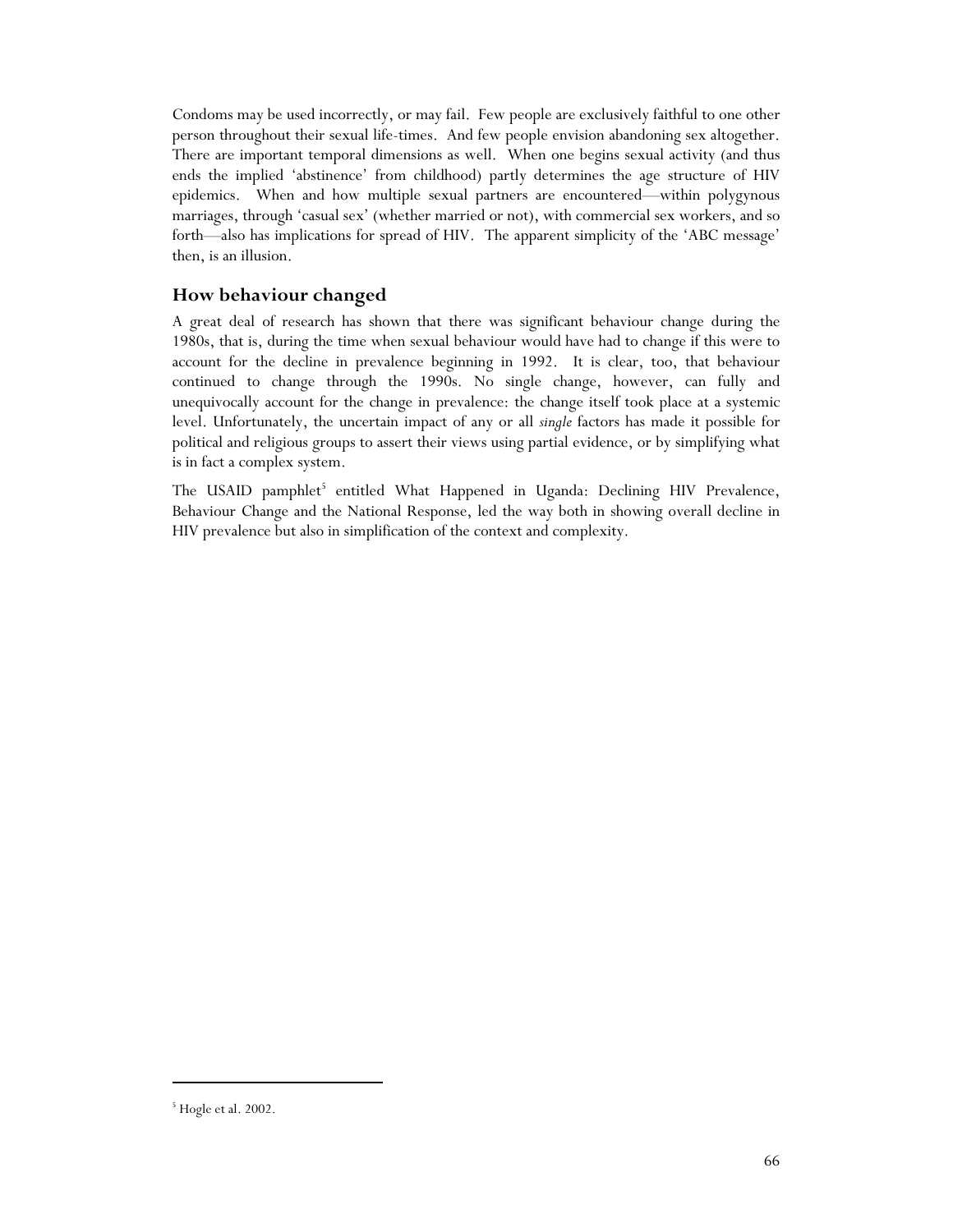Condoms may be used incorrectly, or may fail. Few people are exclusively faithful to one other person throughout their sexual life-times. And few people envision abandoning sex altogether. There are important temporal dimensions as well. When one begins sexual activity (and thus ends the implied 'abstinence' from childhood) partly determines the age structure of HIV epidemics. When and how multiple sexual partners are encountered—within polygynous marriages, through 'casual sex' (whether married or not), with commercial sex workers, and so forth—also has implications for spread of HIV. The apparent simplicity of the 'ABC message' then, is an illusion.

## **How behaviour changed**

A great deal of research has shown that there was significant behaviour change during the 1980s, that is, during the time when sexual behaviour would have had to change if this were to account for the decline in prevalence beginning in 1992. It is clear, too, that behaviour continued to change through the 1990s. No single change, however, can fully and unequivocally account for the change in prevalence: the change itself took place at a systemic level. Unfortunately, the uncertain impact of any or all *single* factors has made it possible for political and religious groups to assert their views using partial evidence, or by simplifying what is in fact a complex system.

The USAID pamphlet<sup>5</sup> entitled What Happened in Uganda: Declining HIV Prevalence, Behaviour Change and the National Response, led the way both in showing overall decline in HIV prevalence but also in simplification of the context and complexity.

<sup>5</sup> Hogle et al. 2002.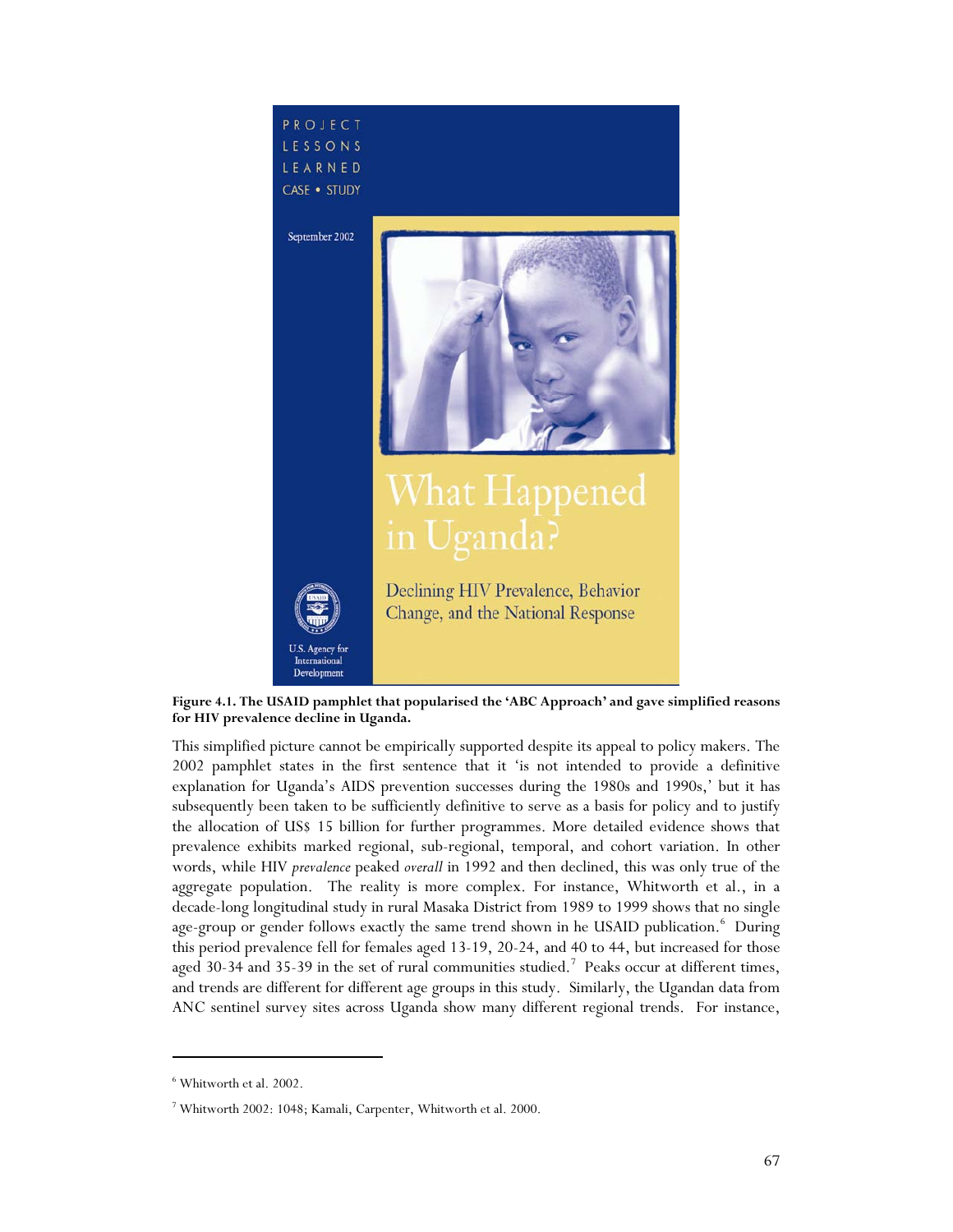

**Figure 4.1. The USAID pamphlet that popularised the 'ABC Approach' and gave simplified reasons for HIV prevalence decline in Uganda.** 

This simplified picture cannot be empirically supported despite its appeal to policy makers. The 2002 pamphlet states in the first sentence that it 'is not intended to provide a definitive explanation for Uganda's AIDS prevention successes during the 1980s and 1990s,' but it has subsequently been taken to be sufficiently definitive to serve as a basis for policy and to justify the allocation of US\$ 15 billion for further programmes. More detailed evidence shows that prevalence exhibits marked regional, sub-regional, temporal, and cohort variation. In other words, while HIV *prevalence* peaked *overall* in 1992 and then declined, this was only true of the aggregate population. The reality is more complex. For instance, Whitworth et al., in a decade-long longitudinal study in rural Masaka District from 1989 to 1999 shows that no single age-group or gender follows exactly the same trend shown in he USAID publication.<sup>6</sup> During this period prevalence fell for females aged 13-19, 20-24, and 40 to 44, but increased for those aged 30-34 and 35-39 in the set of rural communities studied.<sup>7</sup> Peaks occur at different times, and trends are different for different age groups in this study. Similarly, the Ugandan data from ANC sentinel survey sites across Uganda show many different regional trends. For instance,

<sup>6</sup> Whitworth et al. 2002.

<sup>7</sup> Whitworth 2002: 1048; Kamali, Carpenter, Whitworth et al. 2000.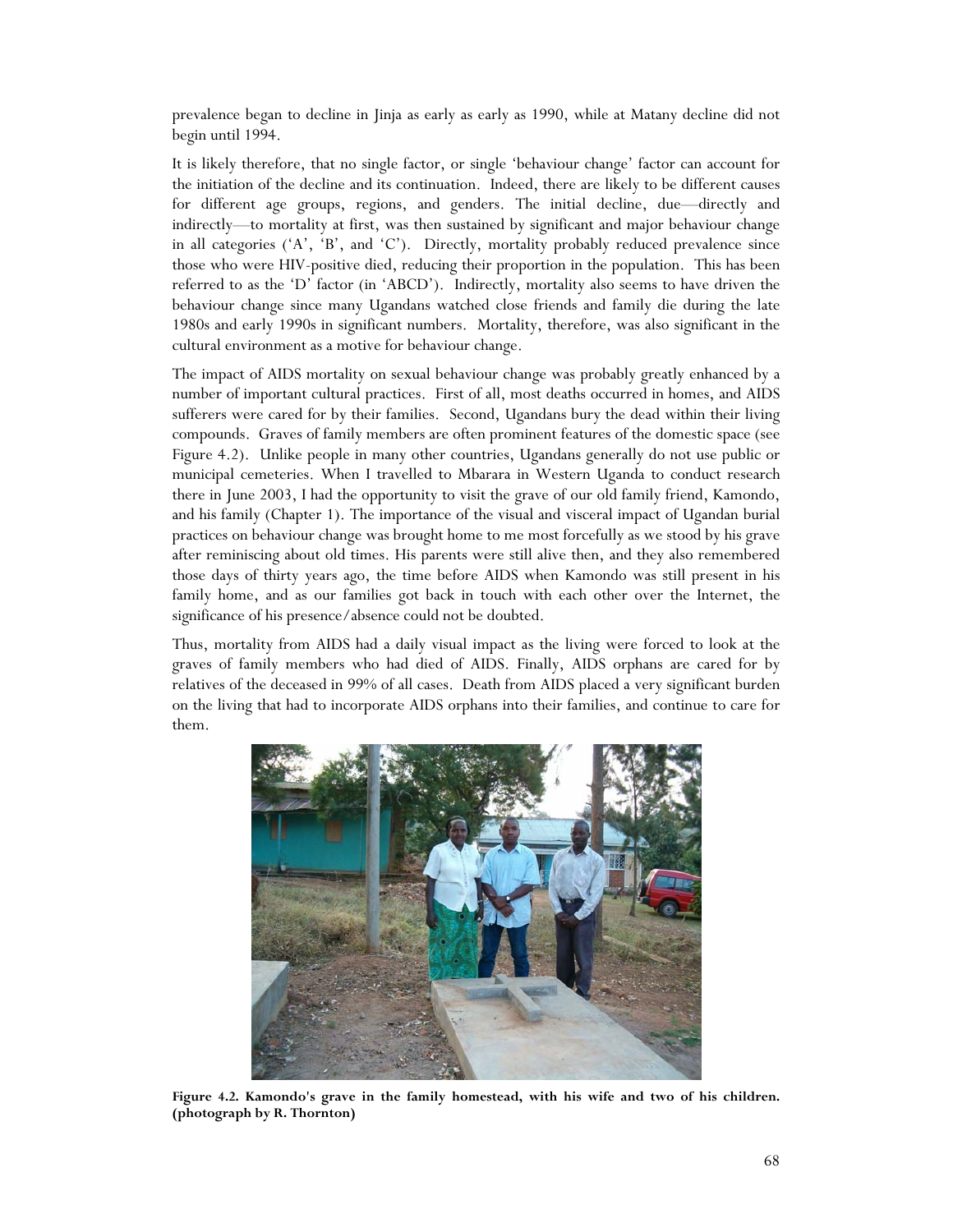prevalence began to decline in Jinja as early as early as 1990, while at Matany decline did not begin until 1994.

It is likely therefore, that no single factor, or single 'behaviour change' factor can account for the initiation of the decline and its continuation. Indeed, there are likely to be different causes for different age groups, regions, and genders. The initial decline, due—directly and indirectly—to mortality at first, was then sustained by significant and major behaviour change in all categories  $(A', B', and C')$ . Directly, mortality probably reduced prevalence since those who were HIV-positive died, reducing their proportion in the population. This has been referred to as the 'D' factor (in 'ABCD'). Indirectly, mortality also seems to have driven the behaviour change since many Ugandans watched close friends and family die during the late 1980s and early 1990s in significant numbers. Mortality, therefore, was also significant in the cultural environment as a motive for behaviour change.

The impact of AIDS mortality on sexual behaviour change was probably greatly enhanced by a number of important cultural practices. First of all, most deaths occurred in homes, and AIDS sufferers were cared for by their families. Second, Ugandans bury the dead within their living compounds. Graves of family members are often prominent features of the domestic space (see Figure 4.2). Unlike people in many other countries, Ugandans generally do not use public or municipal cemeteries. When I travelled to Mbarara in Western Uganda to conduct research there in June 2003, I had the opportunity to visit the grave of our old family friend, Kamondo, and his family (Chapter 1). The importance of the visual and visceral impact of Ugandan burial practices on behaviour change was brought home to me most forcefully as we stood by his grave after reminiscing about old times. His parents were still alive then, and they also remembered those days of thirty years ago, the time before AIDS when Kamondo was still present in his family home, and as our families got back in touch with each other over the Internet, the significance of his presence/absence could not be doubted.

Thus, mortality from AIDS had a daily visual impact as the living were forced to look at the graves of family members who had died of AIDS. Finally, AIDS orphans are cared for by relatives of the deceased in 99% of all cases. Death from AIDS placed a very significant burden on the living that had to incorporate AIDS orphans into their families, and continue to care for them.



**Figure 4.2. Kamondo's grave in the family homestead, with his wife and two of his children. (photograph by R. Thornton)**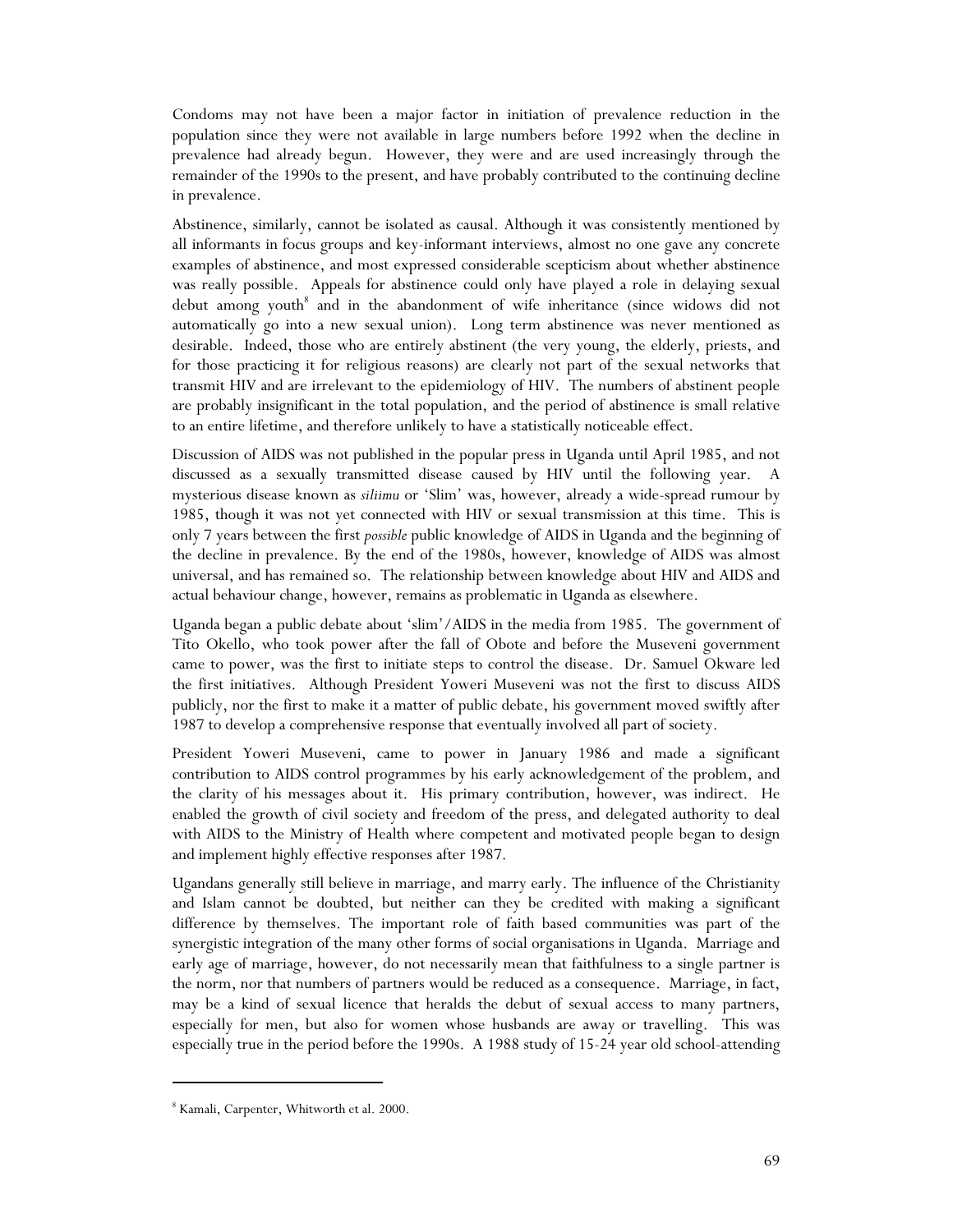Condoms may not have been a major factor in initiation of prevalence reduction in the population since they were not available in large numbers before 1992 when the decline in prevalence had already begun. However, they were and are used increasingly through the remainder of the 1990s to the present, and have probably contributed to the continuing decline in prevalence.

Abstinence, similarly, cannot be isolated as causal. Although it was consistently mentioned by all informants in focus groups and key-informant interviews, almost no one gave any concrete examples of abstinence, and most expressed considerable scepticism about whether abstinence was really possible. Appeals for abstinence could only have played a role in delaying sexual debut among youth<sup>8</sup> and in the abandonment of wife inheritance (since widows did not automatically go into a new sexual union). Long term abstinence was never mentioned as desirable. Indeed, those who are entirely abstinent (the very young, the elderly, priests, and for those practicing it for religious reasons) are clearly not part of the sexual networks that transmit HIV and are irrelevant to the epidemiology of HIV. The numbers of abstinent people are probably insignificant in the total population, and the period of abstinence is small relative to an entire lifetime, and therefore unlikely to have a statistically noticeable effect.

Discussion of AIDS was not published in the popular press in Uganda until April 1985, and not discussed as a sexually transmitted disease caused by HIV until the following year. A mysterious disease known as *siliimu* or 'Slim' was, however, already a wide-spread rumour by 1985, though it was not yet connected with HIV or sexual transmission at this time. This is only 7 years between the first *possible* public knowledge of AIDS in Uganda and the beginning of the decline in prevalence. By the end of the 1980s, however, knowledge of AIDS was almost universal, and has remained so. The relationship between knowledge about HIV and AIDS and actual behaviour change, however, remains as problematic in Uganda as elsewhere.

Uganda began a public debate about 'slim'/AIDS in the media from 1985. The government of Tito Okello, who took power after the fall of Obote and before the Museveni government came to power, was the first to initiate steps to control the disease. Dr. Samuel Okware led the first initiatives. Although President Yoweri Museveni was not the first to discuss AIDS publicly, nor the first to make it a matter of public debate, his government moved swiftly after 1987 to develop a comprehensive response that eventually involved all part of society.

President Yoweri Museveni, came to power in January 1986 and made a significant contribution to AIDS control programmes by his early acknowledgement of the problem, and the clarity of his messages about it. His primary contribution, however, was indirect. He enabled the growth of civil society and freedom of the press, and delegated authority to deal with AIDS to the Ministry of Health where competent and motivated people began to design and implement highly effective responses after 1987.

Ugandans generally still believe in marriage, and marry early. The influence of the Christianity and Islam cannot be doubted, but neither can they be credited with making a significant difference by themselves. The important role of faith based communities was part of the synergistic integration of the many other forms of social organisations in Uganda. Marriage and early age of marriage, however, do not necessarily mean that faithfulness to a single partner is the norm, nor that numbers of partners would be reduced as a consequence. Marriage, in fact, may be a kind of sexual licence that heralds the debut of sexual access to many partners, especially for men, but also for women whose husbands are away or travelling. This was especially true in the period before the 1990s. A 1988 study of 15-24 year old school-attending

<sup>8</sup> Kamali, Carpenter, Whitworth et al. 2000.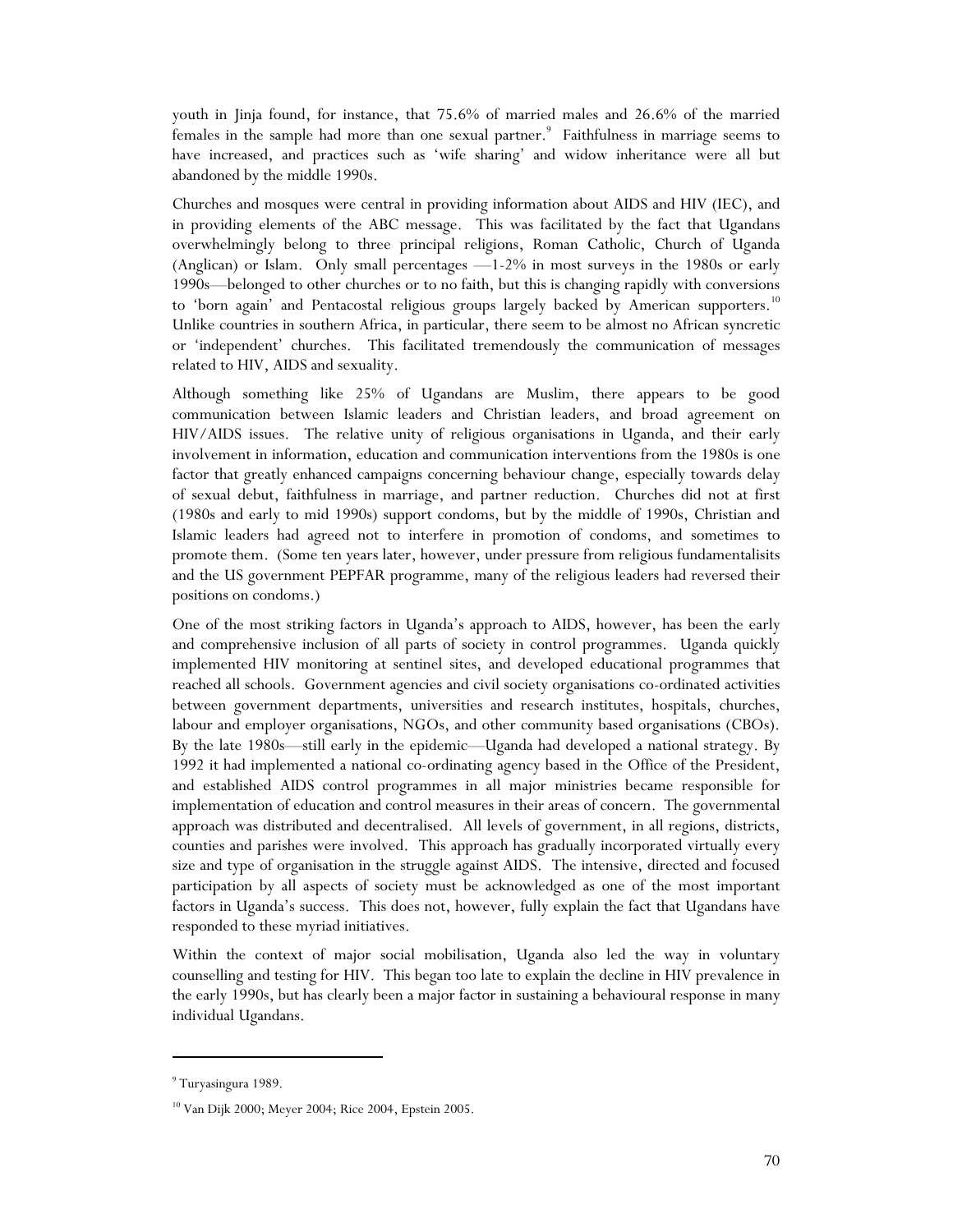youth in Jinja found, for instance, that 75.6% of married males and 26.6% of the married females in the sample had more than one sexual partner.<sup>9</sup> Faithfulness in marriage seems to have increased, and practices such as 'wife sharing' and widow inheritance were all but abandoned by the middle 1990s.

Churches and mosques were central in providing information about AIDS and HIV (IEC), and in providing elements of the ABC message. This was facilitated by the fact that Ugandans overwhelmingly belong to three principal religions, Roman Catholic, Church of Uganda (Anglican) or Islam. Only small percentages —1-2% in most surveys in the 1980s or early 1990s—belonged to other churches or to no faith, but this is changing rapidly with conversions to 'born again' and Pentacostal religious groups largely backed by American supporters.<sup>10</sup> Unlike countries in southern Africa, in particular, there seem to be almost no African syncretic or 'independent' churches. This facilitated tremendously the communication of messages related to HIV, AIDS and sexuality.

Although something like 25% of Ugandans are Muslim, there appears to be good communication between Islamic leaders and Christian leaders, and broad agreement on HIV/AIDS issues. The relative unity of religious organisations in Uganda, and their early involvement in information, education and communication interventions from the 1980s is one factor that greatly enhanced campaigns concerning behaviour change, especially towards delay of sexual debut, faithfulness in marriage, and partner reduction. Churches did not at first (1980s and early to mid 1990s) support condoms, but by the middle of 1990s, Christian and Islamic leaders had agreed not to interfere in promotion of condoms, and sometimes to promote them. (Some ten years later, however, under pressure from religious fundamentalisits and the US government PEPFAR programme, many of the religious leaders had reversed their positions on condoms.)

One of the most striking factors in Uganda's approach to AIDS, however, has been the early and comprehensive inclusion of all parts of society in control programmes. Uganda quickly implemented HIV monitoring at sentinel sites, and developed educational programmes that reached all schools. Government agencies and civil society organisations co-ordinated activities between government departments, universities and research institutes, hospitals, churches, labour and employer organisations, NGOs, and other community based organisations (CBOs). By the late 1980s—still early in the epidemic—Uganda had developed a national strategy. By 1992 it had implemented a national co-ordinating agency based in the Office of the President, and established AIDS control programmes in all major ministries became responsible for implementation of education and control measures in their areas of concern. The governmental approach was distributed and decentralised. All levels of government, in all regions, districts, counties and parishes were involved. This approach has gradually incorporated virtually every size and type of organisation in the struggle against AIDS. The intensive, directed and focused participation by all aspects of society must be acknowledged as one of the most important factors in Uganda's success. This does not, however, fully explain the fact that Ugandans have responded to these myriad initiatives.

Within the context of major social mobilisation, Uganda also led the way in voluntary counselling and testing for HIV. This began too late to explain the decline in HIV prevalence in the early 1990s, but has clearly been a major factor in sustaining a behavioural response in many individual Ugandans.

<sup>&</sup>lt;sup>9</sup> Turyasingura 1989.

<sup>10</sup> Van Dijk 2000; Meyer 2004; Rice 2004, Epstein 2005.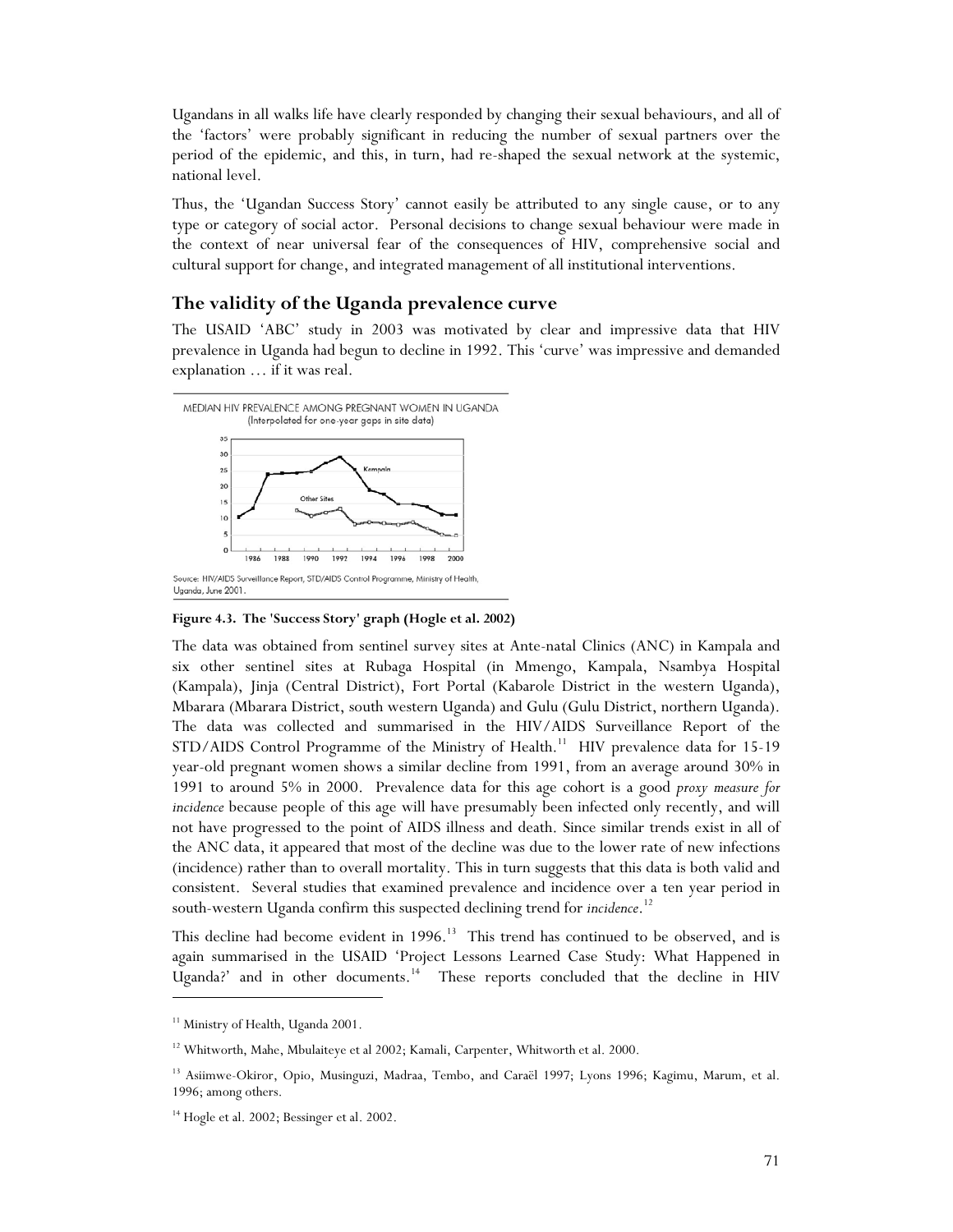Ugandans in all walks life have clearly responded by changing their sexual behaviours, and all of the 'factors' were probably significant in reducing the number of sexual partners over the period of the epidemic, and this, in turn, had re-shaped the sexual network at the systemic, national level.

Thus, the 'Ugandan Success Story' cannot easily be attributed to any single cause, or to any type or category of social actor. Personal decisions to change sexual behaviour were made in the context of near universal fear of the consequences of HIV, comprehensive social and cultural support for change, and integrated management of all institutional interventions.

#### **The validity of the Uganda prevalence curve**

The USAID 'ABC' study in 2003 was motivated by clear and impressive data that HIV prevalence in Uganda had begun to decline in 1992. This 'curve' was impressive and demanded explanation … if it was real.



**Figure 4.3. The 'Success Story' graph (Hogle et al. 2002)** 

The data was obtained from sentinel survey sites at Ante-natal Clinics (ANC) in Kampala and six other sentinel sites at Rubaga Hospital (in Mmengo, Kampala, Nsambya Hospital (Kampala), Jinja (Central District), Fort Portal (Kabarole District in the western Uganda), Mbarara (Mbarara District, south western Uganda) and Gulu (Gulu District, northern Uganda). The data was collected and summarised in the HIV/AIDS Surveillance Report of the STD/AIDS Control Programme of the Ministry of Health.<sup>11</sup> HIV prevalence data for 15-19 year-old pregnant women shows a similar decline from 1991, from an average around 30% in 1991 to around 5% in 2000. Prevalence data for this age cohort is a good *proxy measure for incidence* because people of this age will have presumably been infected only recently, and will not have progressed to the point of AIDS illness and death. Since similar trends exist in all of the ANC data, it appeared that most of the decline was due to the lower rate of new infections (incidence) rather than to overall mortality. This in turn suggests that this data is both valid and consistent. Several studies that examined prevalence and incidence over a ten year period in south-western Uganda confirm this suspected declining trend for *incidence*. 12

This decline had become evident in  $1996<sup>13</sup>$  This trend has continued to be observed, and is again summarised in the USAID 'Project Lessons Learned Case Study: What Happened in Uganda?' and in other documents.<sup>14</sup> These reports concluded that the decline in HIV

j

<sup>&</sup>lt;sup>11</sup> Ministry of Health, Uganda 2001.

<sup>&</sup>lt;sup>12</sup> Whitworth, Mahe, Mbulaiteye et al 2002; Kamali, Carpenter, Whitworth et al. 2000.

<sup>&</sup>lt;sup>13</sup> Asiimwe-Okiror, Opio, Musinguzi, Madraa, Tembo, and Caraël 1997; Lyons 1996; Kagimu, Marum, et al. 1996; among others.

<sup>&</sup>lt;sup>14</sup> Hogle et al. 2002; Bessinger et al. 2002.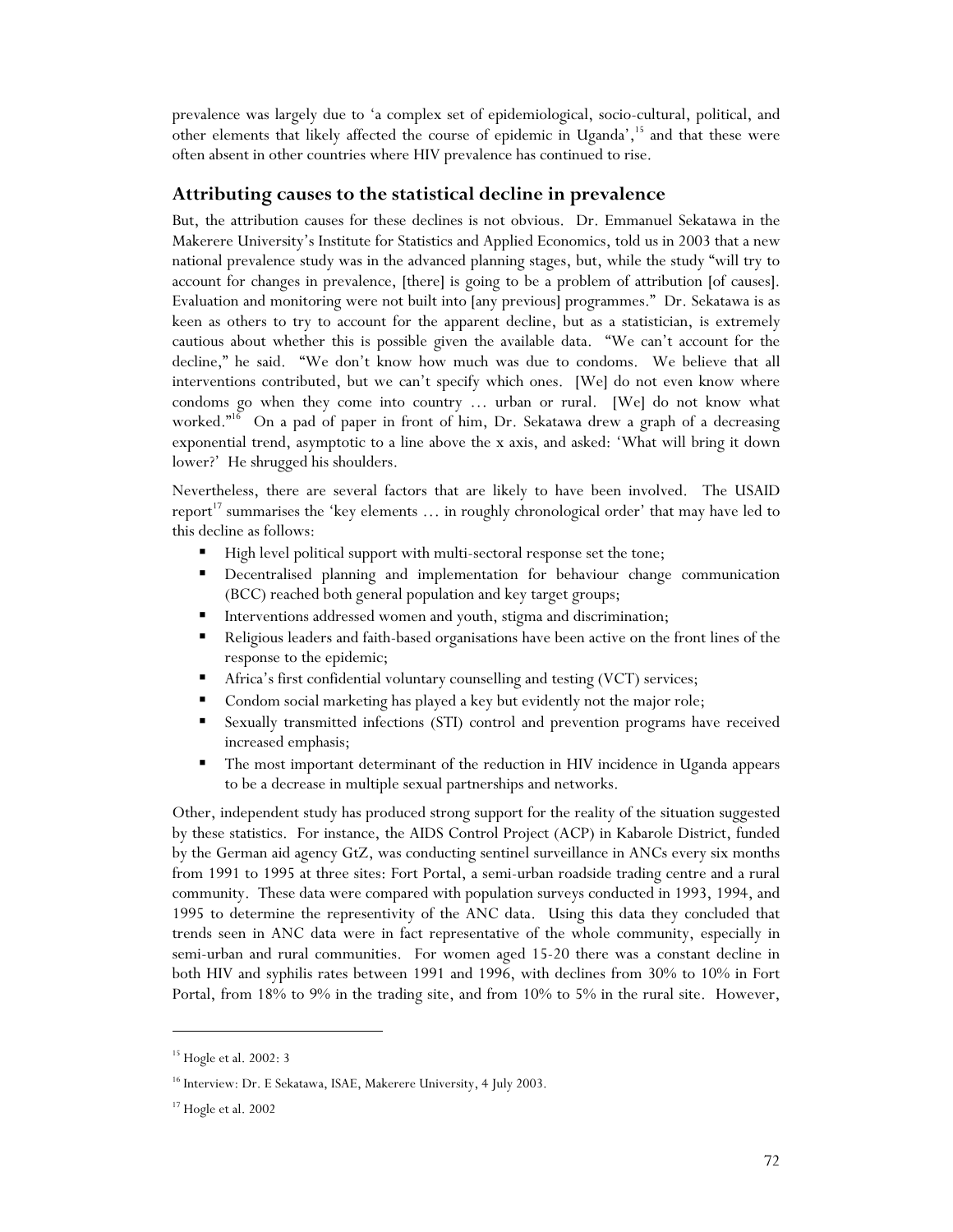prevalence was largely due to 'a complex set of epidemiological, socio-cultural, political, and other elements that likely affected the course of epidemic in Uganda',<sup>15</sup> and that these were often absent in other countries where HIV prevalence has continued to rise.

#### **Attributing causes to the statistical decline in prevalence**

But, the attribution causes for these declines is not obvious. Dr. Emmanuel Sekatawa in the Makerere University's Institute for Statistics and Applied Economics, told us in 2003 that a new national prevalence study was in the advanced planning stages, but, while the study "will try to account for changes in prevalence, [there] is going to be a problem of attribution [of causes]. Evaluation and monitoring were not built into [any previous] programmes." Dr. Sekatawa is as keen as others to try to account for the apparent decline, but as a statistician, is extremely cautious about whether this is possible given the available data. "We can't account for the decline," he said. "We don't know how much was due to condoms. We believe that all interventions contributed, but we can't specify which ones. [We] do not even know where condoms go when they come into country … urban or rural. [We] do not know what worked."<sup>16</sup> On a pad of paper in front of him, Dr. Sekatawa drew a graph of a decreasing exponential trend, asymptotic to a line above the x axis, and asked: 'What will bring it down lower?' He shrugged his shoulders.

Nevertheless, there are several factors that are likely to have been involved. The USAID report<sup>17</sup> summarises the 'key elements  $\dots$  in roughly chronological order' that may have led to this decline as follows:

- High level political support with multi-sectoral response set the tone;
- **Decentralised planning and implementation for behaviour change communication** (BCC) reached both general population and key target groups;
- **Interventions addressed women and youth, stigma and discrimination;**
- Religious leaders and faith-based organisations have been active on the front lines of the response to the epidemic;
- Africa's first confidential voluntary counselling and testing (VCT) services;
- Condom social marketing has played a key but evidently not the major role;
- Sexually transmitted infections (STI) control and prevention programs have received increased emphasis;
- The most important determinant of the reduction in HIV incidence in Uganda appears to be a decrease in multiple sexual partnerships and networks.

Other, independent study has produced strong support for the reality of the situation suggested by these statistics. For instance, the AIDS Control Project (ACP) in Kabarole District, funded by the German aid agency GtZ, was conducting sentinel surveillance in ANCs every six months from 1991 to 1995 at three sites: Fort Portal, a semi-urban roadside trading centre and a rural community. These data were compared with population surveys conducted in 1993, 1994, and 1995 to determine the representivity of the ANC data. Using this data they concluded that trends seen in ANC data were in fact representative of the whole community, especially in semi-urban and rural communities. For women aged 15-20 there was a constant decline in both HIV and syphilis rates between 1991 and 1996, with declines from 30% to 10% in Fort Portal, from 18% to 9% in the trading site, and from 10% to 5% in the rural site. However,

<sup>15</sup> Hogle et al. 2002: 3

<sup>&</sup>lt;sup>16</sup> Interview: Dr. E Sekatawa, ISAE, Makerere University, 4 July 2003.

 $17$  Hogle et al. 2002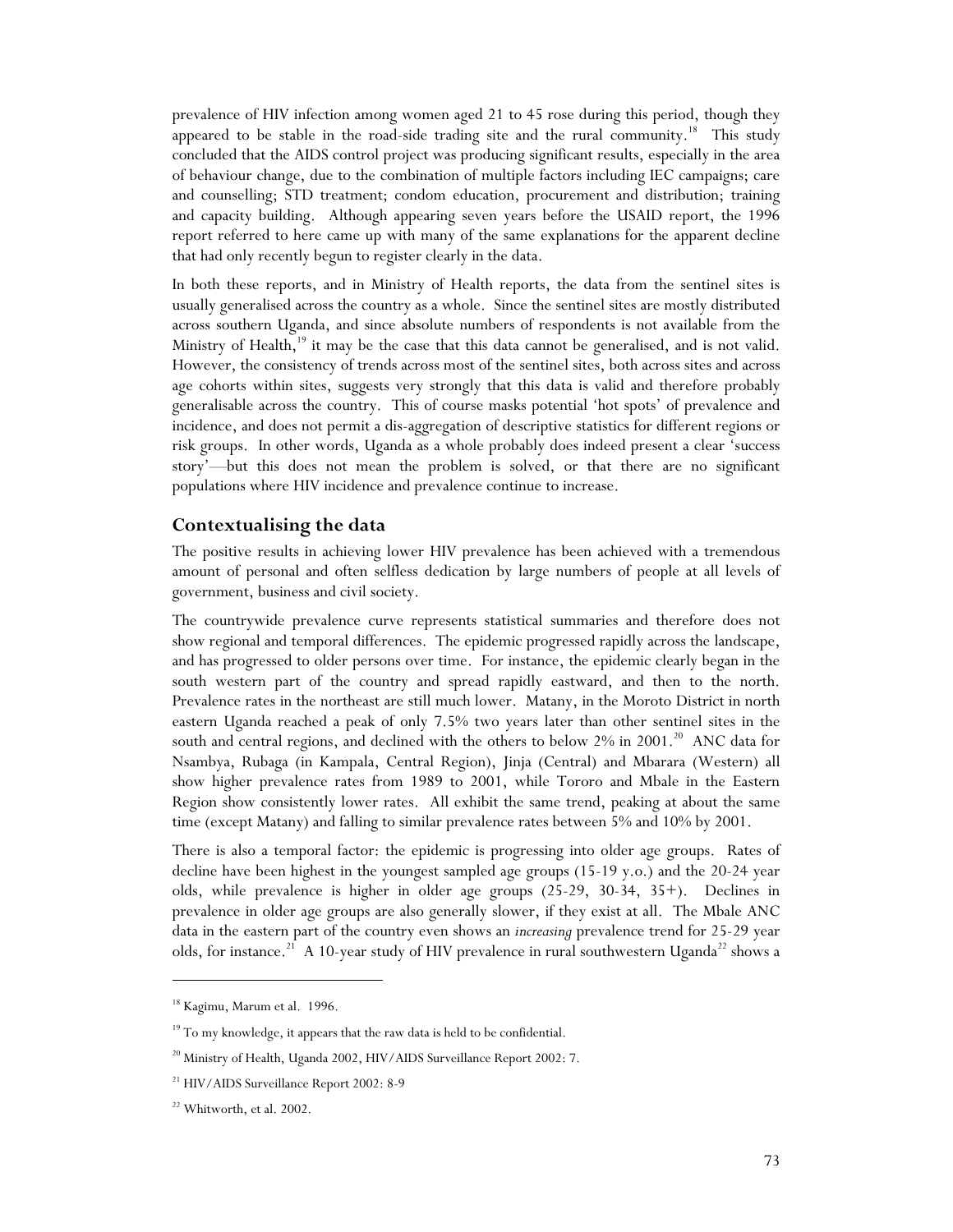prevalence of HIV infection among women aged 21 to 45 rose during this period, though they appeared to be stable in the road-side trading site and the rural community.<sup>18</sup> This study concluded that the AIDS control project was producing significant results, especially in the area of behaviour change, due to the combination of multiple factors including IEC campaigns; care and counselling; STD treatment; condom education, procurement and distribution; training and capacity building. Although appearing seven years before the USAID report, the 1996 report referred to here came up with many of the same explanations for the apparent decline that had only recently begun to register clearly in the data.

In both these reports, and in Ministry of Health reports, the data from the sentinel sites is usually generalised across the country as a whole. Since the sentinel sites are mostly distributed across southern Uganda, and since absolute numbers of respondents is not available from the Ministry of Health, $19$  it may be the case that this data cannot be generalised, and is not valid. However, the consistency of trends across most of the sentinel sites, both across sites and across age cohorts within sites, suggests very strongly that this data is valid and therefore probably generalisable across the country. This of course masks potential 'hot spots' of prevalence and incidence, and does not permit a dis-aggregation of descriptive statistics for different regions or risk groups. In other words, Uganda as a whole probably does indeed present a clear 'success story'—but this does not mean the problem is solved, or that there are no significant populations where HIV incidence and prevalence continue to increase.

#### **Contextualising the data**

The positive results in achieving lower HIV prevalence has been achieved with a tremendous amount of personal and often selfless dedication by large numbers of people at all levels of government, business and civil society.

The countrywide prevalence curve represents statistical summaries and therefore does not show regional and temporal differences. The epidemic progressed rapidly across the landscape, and has progressed to older persons over time. For instance, the epidemic clearly began in the south western part of the country and spread rapidly eastward, and then to the north. Prevalence rates in the northeast are still much lower. Matany, in the Moroto District in north eastern Uganda reached a peak of only 7.5% two years later than other sentinel sites in the south and central regions, and declined with the others to below  $2\%$  in  $2001$ .<sup>20</sup> ANC data for Nsambya, Rubaga (in Kampala, Central Region), Jinja (Central) and Mbarara (Western) all show higher prevalence rates from 1989 to 2001, while Tororo and Mbale in the Eastern Region show consistently lower rates. All exhibit the same trend, peaking at about the same time (except Matany) and falling to similar prevalence rates between 5% and 10% by 2001.

There is also a temporal factor: the epidemic is progressing into older age groups. Rates of decline have been highest in the youngest sampled age groups (15-19 y.o.) and the 20-24 year olds, while prevalence is higher in older age groups (25-29, 30-34, 35+). Declines in prevalence in older age groups are also generally slower, if they exist at all. The Mbale ANC data in the eastern part of the country even shows an *increasing* prevalence trend for 25-29 year olds, for instance.<sup>21</sup> A 10-year study of HIV prevalence in rural southwestern Uganda<sup>22</sup> shows a

<sup>&</sup>lt;sup>18</sup> Kagimu, Marum et al. 1996.

<sup>&</sup>lt;sup>19</sup> To my knowledge, it appears that the raw data is held to be confidential.

<sup>&</sup>lt;sup>20</sup> Ministry of Health, Uganda 2002, HIV/AIDS Surveillance Report 2002: 7.

<sup>21</sup> HIV/AIDS Surveillance Report 2002: 8-9

<sup>22</sup> Whitworth, et al. 2002.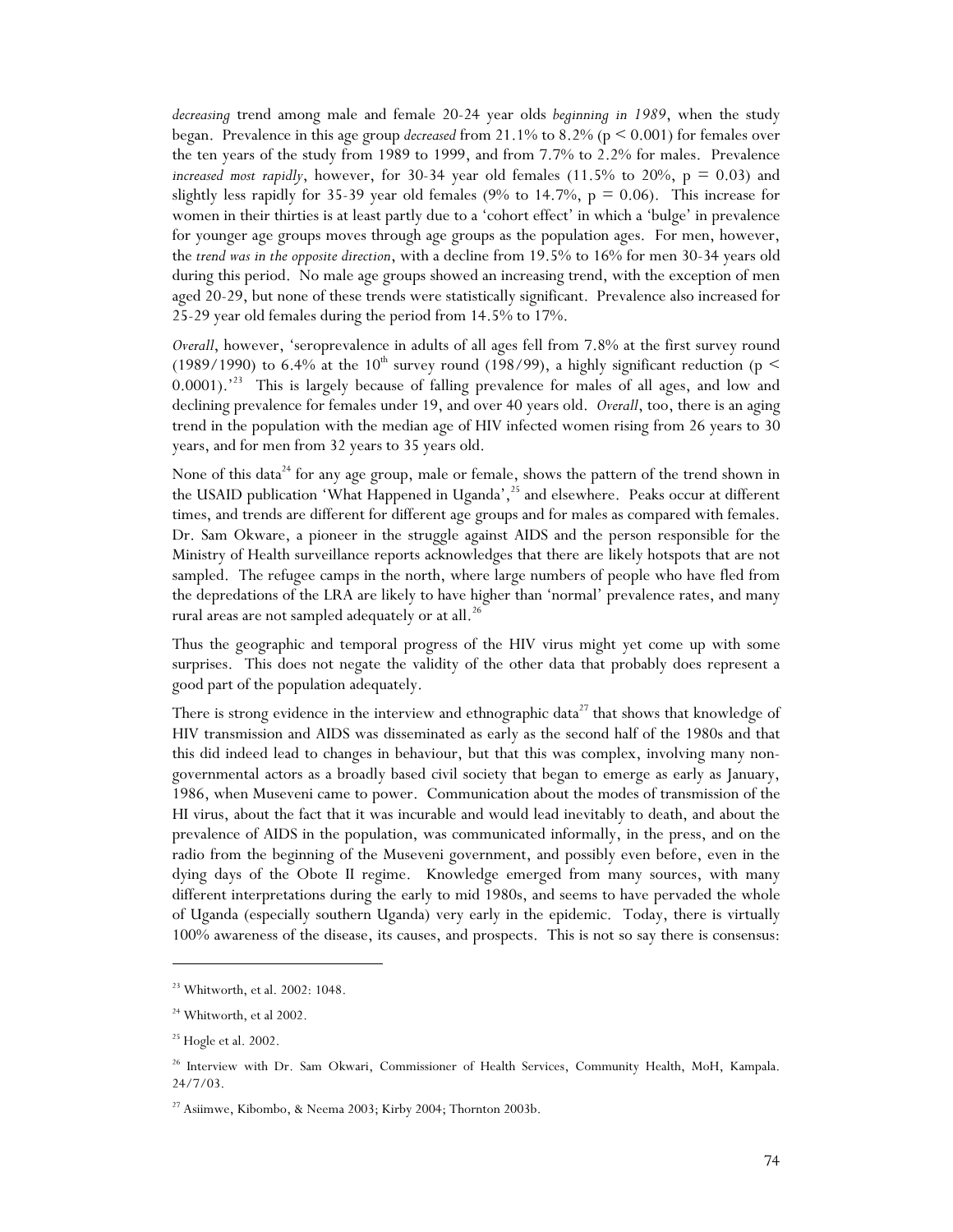*decreasing* trend among male and female 20-24 year olds *beginning in 1989*, when the study began. Prevalence in this age group *decreased* from 21.1% to 8.2% (p < 0.001) for females over the ten years of the study from 1989 to 1999, and from 7.7% to 2.2% for males. Prevalence *increased most rapidly*, however, for 30-34 year old females (11.5% to 20%,  $p = 0.03$ ) and slightly less rapidly for 35-39 year old females (9% to 14.7%,  $p = 0.06$ ). This increase for women in their thirties is at least partly due to a 'cohort effect' in which a 'bulge' in prevalence for younger age groups moves through age groups as the population ages. For men, however, the *trend was in the opposite direction*, with a decline from 19.5% to 16% for men 30-34 years old during this period. No male age groups showed an increasing trend, with the exception of men aged 20-29, but none of these trends were statistically significant. Prevalence also increased for 25-29 year old females during the period from 14.5% to 17%.

*Overall*, however, 'seroprevalence in adults of all ages fell from 7.8% at the first survey round (1989/1990) to 6.4% at the 10<sup>th</sup> survey round (198/99), a highly significant reduction (p  $\leq$ 0.0001).<sup>23</sup> This is largely because of falling prevalence for males of all ages, and low and declining prevalence for females under 19, and over 40 years old. *Overall*, too, there is an aging trend in the population with the median age of HIV infected women rising from 26 years to 30 years, and for men from 32 years to 35 years old.

None of this data<sup>24</sup> for any age group, male or female, shows the pattern of the trend shown in the USAID publication 'What Happened in Uganda',  $^{25}$  and elsewhere. Peaks occur at different times, and trends are different for different age groups and for males as compared with females. Dr. Sam Okware, a pioneer in the struggle against AIDS and the person responsible for the Ministry of Health surveillance reports acknowledges that there are likely hotspots that are not sampled. The refugee camps in the north, where large numbers of people who have fled from the depredations of the LRA are likely to have higher than 'normal' prevalence rates, and many rural areas are not sampled adequately or at all.<sup>26</sup>

Thus the geographic and temporal progress of the HIV virus might yet come up with some surprises. This does not negate the validity of the other data that probably does represent a good part of the population adequately.

There is strong evidence in the interview and ethnographic data<sup>27</sup> that shows that knowledge of HIV transmission and AIDS was disseminated as early as the second half of the 1980s and that this did indeed lead to changes in behaviour, but that this was complex, involving many nongovernmental actors as a broadly based civil society that began to emerge as early as January, 1986, when Museveni came to power. Communication about the modes of transmission of the HI virus, about the fact that it was incurable and would lead inevitably to death, and about the prevalence of AIDS in the population, was communicated informally, in the press, and on the radio from the beginning of the Museveni government, and possibly even before, even in the dying days of the Obote II regime. Knowledge emerged from many sources, with many different interpretations during the early to mid 1980s, and seems to have pervaded the whole of Uganda (especially southern Uganda) very early in the epidemic. Today, there is virtually 100% awareness of the disease, its causes, and prospects. This is not so say there is consensus:

<sup>23</sup> Whitworth, et al. 2002: 1048.

<sup>&</sup>lt;sup>24</sup> Whitworth, et al 2002.

<sup>&</sup>lt;sup>25</sup> Hogle et al. 2002.

<sup>&</sup>lt;sup>26</sup> Interview with Dr. Sam Okwari, Commissioner of Health Services, Community Health, MoH, Kampala. 24/7/03.

<sup>&</sup>lt;sup>27</sup> Asiimwe, Kibombo, & Neema 2003; Kirby 2004; Thornton 2003b.